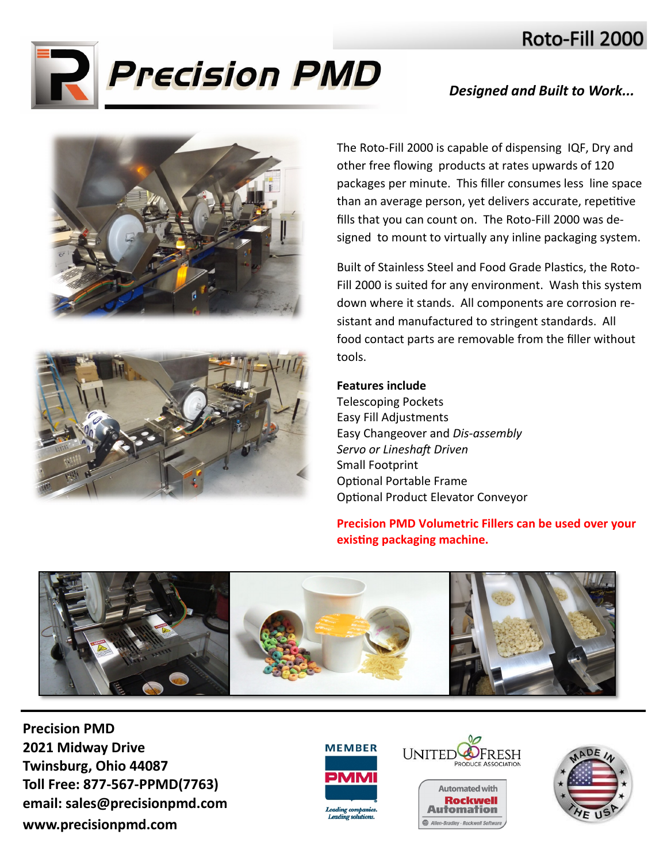## Roto-Fill 2000



## *Designed and Built to Work...*





The Roto-Fill 2000 is capable of dispensing IQF, Dry and other free flowing products at rates upwards of 120 packages per minute. This filler consumes less line space than an average person, yet delivers accurate, repetitive fills that you can count on. The Roto-Fill 2000 was designed to mount to virtually any inline packaging system.

Built of Stainless Steel and Food Grade Plastics, the Roto-Fill 2000 is suited for any environment. Wash this system down where it stands. All components are corrosion resistant and manufactured to stringent standards. All food contact parts are removable from the filler without tools.

## **Features include**

Telescoping Pockets Easy Fill Adjustments Easy Changeover and *Dis-assembly Servo or Lineshaft Driven* Small Footprint Optional Portable Frame Optional Product Elevator Conveyor

## **Precision PMD Volumetric Fillers can be used over your existing packaging machine.**

![](_page_0_Picture_10.jpeg)

**Precision PMD 2021 Midway Drive Twinsburg, Ohio 44087 Toll Free: 877-567-PPMD(7763) email: sales@precisionpmd.com www.precisionpmd.com**

![](_page_0_Picture_12.jpeg)

![](_page_0_Picture_13.jpeg)

Allen-Bradley · Rockwell Softwar

![](_page_0_Picture_14.jpeg)